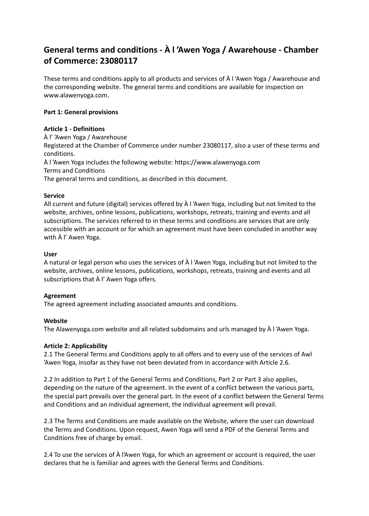# **General terms and conditions - À l 'Awen Yoga / Awarehouse - Chamber of Commerce: 23080117**

These terms and conditions apply to all products and services of À l 'Awen Yoga / Awarehouse and the corresponding website. The general terms and conditions are available for inspection on www.alawenyoga.com.

# **Part 1: General provisions**

# **Article 1 - Definitions**

À l' 'Awen Yoga / Awarehouse Registered at the Chamber of Commerce under number 23080117, also a user of these terms and conditions. À l 'Awen Yoga includes the following website: https://www.alawenyoga.com Terms and Conditions The general terms and conditions, as described in this document.

# **Service**

All current and future (digital) services offered by À l 'Awen Yoga, including but not limited to the website, archives, online lessons, publications, workshops, retreats, training and events and all subscriptions. The services referred to in these terms and conditions are services that are only accessible with an account or for which an agreement must have been concluded in another way with À l' Awen Yoga.

# **User**

A natural or legal person who uses the services of À l 'Awen Yoga, including but not limited to the website, archives, online lessons, publications, workshops, retreats, training and events and all subscriptions that À l' Awen Yoga offers.

# **Agreement**

The agreed agreement including associated amounts and conditions.

# **Website**

The Alawenyoga.com website and all related subdomains and urls managed by À l 'Awen Yoga.

# **Article 2: Applicability**

2.1 The General Terms and Conditions apply to all offers and to every use of the services of Awl 'Awen Yoga, insofar as they have not been deviated from in accordance with Article 2.6.

2.2 In addition to Part 1 of the General Terms and Conditions, Part 2 or Part 3 also applies, depending on the nature of the agreement. In the event of a conflict between the various parts, the special part prevails over the general part. In the event of a conflict between the General Terms and Conditions and an individual agreement, the individual agreement will prevail.

2.3 The Terms and Conditions are made available on the Website, where the user can download the Terms and Conditions. Upon request, Awen Yoga will send a PDF of the General Terms and Conditions free of charge by email.

2.4 To use the services of À l'Awen Yoga, for which an agreement or account is required, the user declares that he is familiar and agrees with the General Terms and Conditions.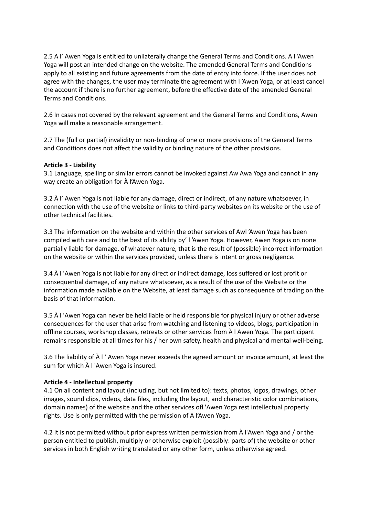2.5 A l' Awen Yoga is entitled to unilaterally change the General Terms and Conditions. A l 'Awen Yoga will post an intended change on the website. The amended General Terms and Conditions apply to all existing and future agreements from the date of entry into force. If the user does not agree with the changes, the user may terminate the agreement with l 'Awen Yoga, or at least cancel the account if there is no further agreement, before the effective date of the amended General Terms and Conditions.

2.6 In cases not covered by the relevant agreement and the General Terms and Conditions, Awen Yoga will make a reasonable arrangement.

2.7 The (full or partial) invalidity or non-binding of one or more provisions of the General Terms and Conditions does not affect the validity or binding nature of the other provisions.

#### **Article 3 - Liability**

3.1 Language, spelling or similar errors cannot be invoked against Aw Awa Yoga and cannot in any way create an obligation for À l'Awen Yoga.

3.2 À l' Awen Yoga is not liable for any damage, direct or indirect, of any nature whatsoever, in connection with the use of the website or links to third-party websites on its website or the use of other technical facilities.

3.3 The information on the website and within the other services of Awl 'Awen Yoga has been compiled with care and to the best of its ability by' l 'Awen Yoga. However, Awen Yoga is on none partially liable for damage, of whatever nature, that is the result of (possible) incorrect information on the website or within the services provided, unless there is intent or gross negligence.

3.4 À l 'Awen Yoga is not liable for any direct or indirect damage, loss suffered or lost profit or consequential damage, of any nature whatsoever, as a result of the use of the Website or the information made available on the Website, at least damage such as consequence of trading on the basis of that information.

3.5 À l 'Awen Yoga can never be held liable or held responsible for physical injury or other adverse consequences for the user that arise from watching and listening to videos, blogs, participation in offline courses, workshop classes, retreats or other services from À l Awen Yoga. The participant remains responsible at all times for his / her own safety, health and physical and mental well-being.

3.6 The liability of À l ' Awen Yoga never exceeds the agreed amount or invoice amount, at least the sum for which À l 'Awen Yoga is insured.

#### **Article 4 - Intellectual property**

4.1 On all content and layout (including, but not limited to): texts, photos, logos, drawings, other images, sound clips, videos, data files, including the layout, and characteristic color combinations, domain names) of the website and the other services ofl 'Awen Yoga rest intellectual property rights. Use is only permitted with the permission of A l'Awen Yoga.

4.2 It is not permitted without prior express written permission from À l'Awen Yoga and / or the person entitled to publish, multiply or otherwise exploit (possibly: parts of) the website or other services in both English writing translated or any other form, unless otherwise agreed.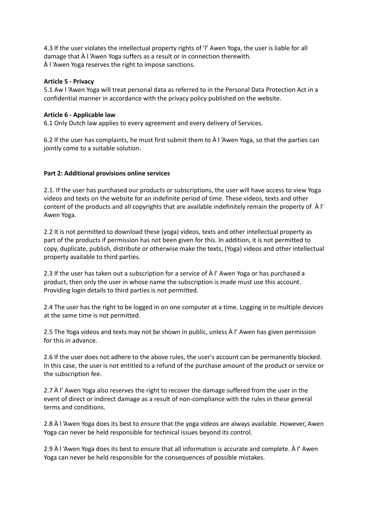4.3 If the user violates the intellectual property rights of 'l' Awen Yoga, the user is liable for all damage that À l 'Awen Yoga suffers as a result or in connection therewith. À l 'Awen Yoga reserves the right to impose sanctions.

## **Article 5 - Privacy**

5.1 Aw l 'Awen Yoga will treat personal data as referred to in the Personal Data Protection Act in a confidential manner in accordance with the privacy policy published on the website.

#### **Article 6 - Applicable law**

6.1 Only Dutch law applies to every agreement and every delivery of Services.

6.2 If the user has complaints, he must first submit them to À l 'Awen Yoga, so that the parties can jointly come to a suitable solution.

#### **Part 2: Additional provisions online services**

2.1. If the user has purchased our products or subscriptions, the user will have access to view Yoga videos and texts on the website for an indefinite period of time. These videos, texts and other content of the products and all copyrights that are available indefinitely remain the property of À l' Awen Yoga.

2.2 It is not permitted to download these (yoga) videos, texts and other intellectual property as part of the products if permission has not been given for this. In addition, it is not permitted to copy, duplicate, publish, distribute or otherwise make the texts, (Yoga) videos and other intellectual property available to third parties.

2.3 If the user has taken out a subscription for a service of À l' Awen Yoga or has purchased a product, then only the user in whose name the subscription is made must use this account. Providing login details to third parties is not permitted.

2.4 The user has the right to be logged in on one computer at a time. Logging in to multiple devices at the same time is not permitted.

2.5 The Yoga videos and texts may not be shown in public, unless À l' Awen has given permission for this in advance.

2.6 If the user does not adhere to the above rules, the user's account can be permanently blocked. In this case, the user is not entitled to a refund of the purchase amount of the product or service or the subscription fee.

2.7 À l' Awen Yoga also reserves the right to recover the damage suffered from the user in the event of direct or indirect damage as a result of non-compliance with the rules in these general terms and conditions.

2.8 À l 'Awen Yoga does its best to ensure that the yoga videos are always available. However, Awen Yoga can never be held responsible for technical issues beyond its control.

2.9 À l 'Awen Yoga does its best to ensure that all information is accurate and complete. À l' Awen Yoga can never be held responsible for the consequences of possible mistakes.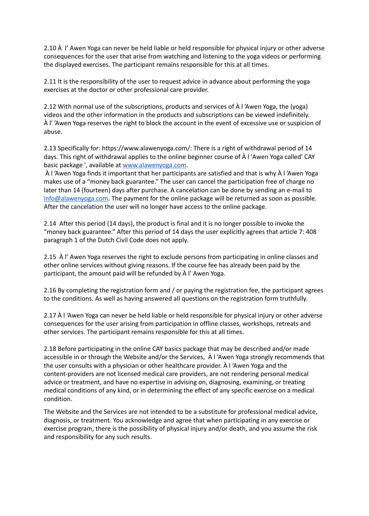2.10 À l' Awen Yoga can never be held liable or held responsible for physical injury or other adverse consequences for the user that arise from watching and listening to the yoga videos or performing the displayed exercises. The participant remains responsible for this at all times.

2.11 It is the responsibility of the user to request advice in advance about performing the yoga exercises at the doctor or other professional care provider.

2.12 With normal use of the subscriptions, products and services of À l 'Awen Yoga, the (yoga) videos and the other information in the products and subscriptions can be viewed indefinitely. À l' 'Awen Yoga reserves the right to block the account in the event of excessive use or suspicion of abuse.

2.13 Specifically for: https://www.alawenyoga.com/: There is a right of withdrawal period of 14 days. This right of withdrawal applies to the online beginner course of À l 'Awen Yoga called' CAY basic package ', available at www.alawenyoga.com.

 À l 'Awen Yoga finds it important that her participants are satisfied and that is why À l 'Awen Yoga makes use of a "money back guarantee." The user can cancel the participation free of charge no later than 14 (fourteen) days after purchase. A cancelation can be done by sending an e-mail to  $\frac{1}{100}$  alawenyoga.com. The payment for the online package will be returned as soon as possible. After the cancelation the user will no longer have access to the online package.

2.14 After this period (14 days), the product is final and it is no longer possible to invoke the "money back guarantee." After this period of 14 days the user explicitly agrees that article 7: 408 paragraph 1 of the Dutch Civil Code does not apply.

2.15 À l' Awen Yoga reserves the right to exclude persons from participating in online classes and other online services without giving reasons. If the course fee has already been paid by the participant, the amount paid will be refunded by À l' Awen Yoga.

2.16 By completing the registration form and / or paying the registration fee, the participant agrees to the conditions. As well as having answered all questions on the registration form truthfully.

2.17 À l 'Awen Yoga can never be held liable or held responsible for physical injury or other adverse consequences for the user arising from participation in offline classes, workshops, retreats and other services. The participant remains responsible for this at all times.

2.18 Before participating in the online CAY basics package that may be described and/or made accessible in or through the Website and/or the Services, À l 'Awen Yoga strongly recommends that the user consults with a physician or other healthcare provider. À l 'Awen Yoga and the content-providers are not licensed medical care providers, are not rendering personal medical advice or treatment, and have no expertise in advising on, diagnosing, examining, or treating medical conditions of any kind, or in determining the effect of any specific exercise on a medical condition.

The Website and the Services are not intended to be a substitute for professional medical advice, diagnosis, or treatment. You acknowledge and agree that when participating in any exercise or exercise program, there is the possibility of physical injury and/or death, and you assume the risk and responsibility for any such results.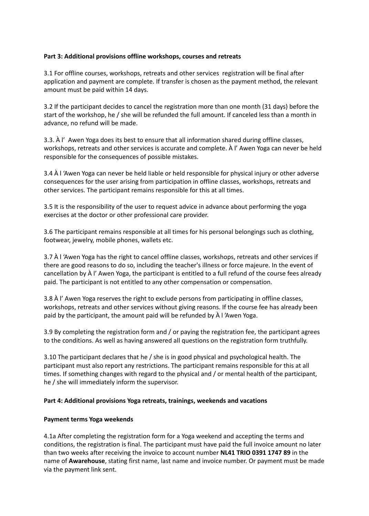# **Part 3: Additional provisions offline workshops, courses and retreats**

3.1 For offline courses, workshops, retreats and other services registration will be final after application and payment are complete. If transfer is chosen as the payment method, the relevant amount must be paid within 14 days.

3.2 If the participant decides to cancel the registration more than one month (31 days) before the start of the workshop, he / she will be refunded the full amount. If canceled less than a month in advance, no refund will be made.

3.3. À l' Awen Yoga does its best to ensure that all information shared during offline classes, workshops, retreats and other services is accurate and complete. À l' Awen Yoga can never be held responsible for the consequences of possible mistakes.

3.4 À l 'Awen Yoga can never be held liable or held responsible for physical injury or other adverse consequences for the user arising from participation in offline classes, workshops, retreats and other services. The participant remains responsible for this at all times.

3.5 It is the responsibility of the user to request advice in advance about performing the yoga exercises at the doctor or other professional care provider.

3.6 The participant remains responsible at all times for his personal belongings such as clothing, footwear, jewelry, mobile phones, wallets etc.

3.7 À l 'Awen Yoga has the right to cancel offline classes, workshops, retreats and other services if there are good reasons to do so, including the teacher's illness or force majeure. In the event of cancellation by À l' Awen Yoga, the participant is entitled to a full refund of the course fees already paid. The participant is not entitled to any other compensation or compensation.

3.8 À l' Awen Yoga reserves the right to exclude persons from participating in offline classes, workshops, retreats and other services without giving reasons. If the course fee has already been paid by the participant, the amount paid will be refunded by À l 'Awen Yoga.

3.9 By completing the registration form and / or paying the registration fee, the participant agrees to the conditions. As well as having answered all questions on the registration form truthfully.

3.10 The participant declares that he / she is in good physical and psychological health. The participant must also report any restrictions. The participant remains responsible for this at all times. If something changes with regard to the physical and / or mental health of the participant, he / she will immediately inform the supervisor.

# **Part 4: Additional provisions Yoga retreats, trainings, weekends and vacations**

# **Payment terms Yoga weekends**

4.1a After completing the registration form for a Yoga weekend and accepting the terms and conditions, the registration is final. The participant must have paid the full invoice amount no later than two weeks after receiving the invoice to account number **NL41 TRIO 0391 1747 89** in the name of **Awarehouse**, stating first name, last name and invoice number. Or payment must be made via the payment link sent.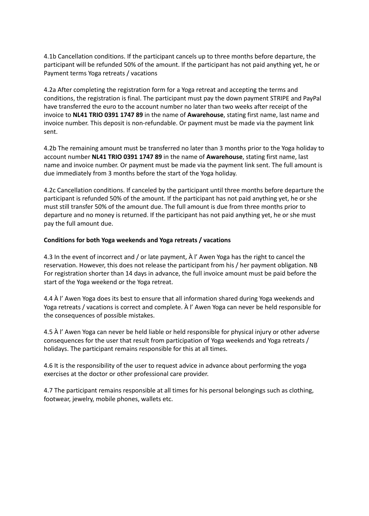4.1b Cancellation conditions. If the participant cancels up to three months before departure, the participant will be refunded 50% of the amount. If the participant has not paid anything yet, he or Payment terms Yoga retreats / vacations

4.2a After completing the registration form for a Yoga retreat and accepting the terms and conditions, the registration is final. The participant must pay the down payment STRIPE and PayPal have transferred the euro to the account number no later than two weeks after receipt of the invoice to **NL41 TRIO 0391 1747 89** in the name of **Awarehouse**, stating first name, last name and invoice number. This deposit is non-refundable. Or payment must be made via the payment link sent.

4.2b The remaining amount must be transferred no later than 3 months prior to the Yoga holiday to account number **NL41 TRIO 0391 1747 89** in the name of **Awarehouse**, stating first name, last name and invoice number. Or payment must be made via the payment link sent. The full amount is due immediately from 3 months before the start of the Yoga holiday.

4.2c Cancellation conditions. If canceled by the participant until three months before departure the participant is refunded 50% of the amount. If the participant has not paid anything yet, he or she must still transfer 50% of the amount due. The full amount is due from three months prior to departure and no money is returned. If the participant has not paid anything yet, he or she must pay the full amount due.

#### **Conditions for both Yoga weekends and Yoga retreats / vacations**

4.3 In the event of incorrect and / or late payment, À l' Awen Yoga has the right to cancel the reservation. However, this does not release the participant from his / her payment obligation. NB For registration shorter than 14 days in advance, the full invoice amount must be paid before the start of the Yoga weekend or the Yoga retreat.

4.4 À l' Awen Yoga does its best to ensure that all information shared during Yoga weekends and Yoga retreats / vacations is correct and complete. À l' Awen Yoga can never be held responsible for the consequences of possible mistakes.

4.5 À l' Awen Yoga can never be held liable or held responsible for physical injury or other adverse consequences for the user that result from participation of Yoga weekends and Yoga retreats / holidays. The participant remains responsible for this at all times.

4.6 It is the responsibility of the user to request advice in advance about performing the yoga exercises at the doctor or other professional care provider.

4.7 The participant remains responsible at all times for his personal belongings such as clothing, footwear, jewelry, mobile phones, wallets etc.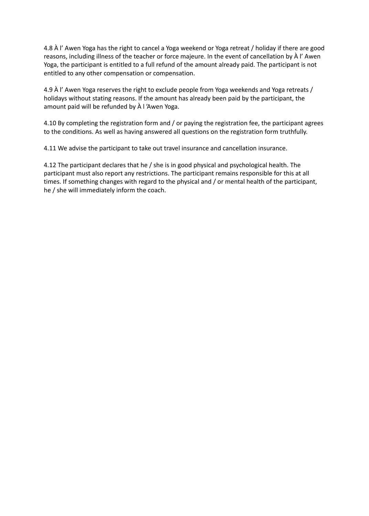4.8 À l' Awen Yoga has the right to cancel a Yoga weekend or Yoga retreat / holiday if there are good reasons, including illness of the teacher or force majeure. In the event of cancellation by À l' Awen Yoga, the participant is entitled to a full refund of the amount already paid. The participant is not entitled to any other compensation or compensation.

4.9 À l' Awen Yoga reserves the right to exclude people from Yoga weekends and Yoga retreats / holidays without stating reasons. If the amount has already been paid by the participant, the amount paid will be refunded by À l 'Awen Yoga.

4.10 By completing the registration form and / or paying the registration fee, the participant agrees to the conditions. As well as having answered all questions on the registration form truthfully.

4.11 We advise the participant to take out travel insurance and cancellation insurance.

4.12 The participant declares that he / she is in good physical and psychological health. The participant must also report any restrictions. The participant remains responsible for this at all times. If something changes with regard to the physical and / or mental health of the participant, he / she will immediately inform the coach.